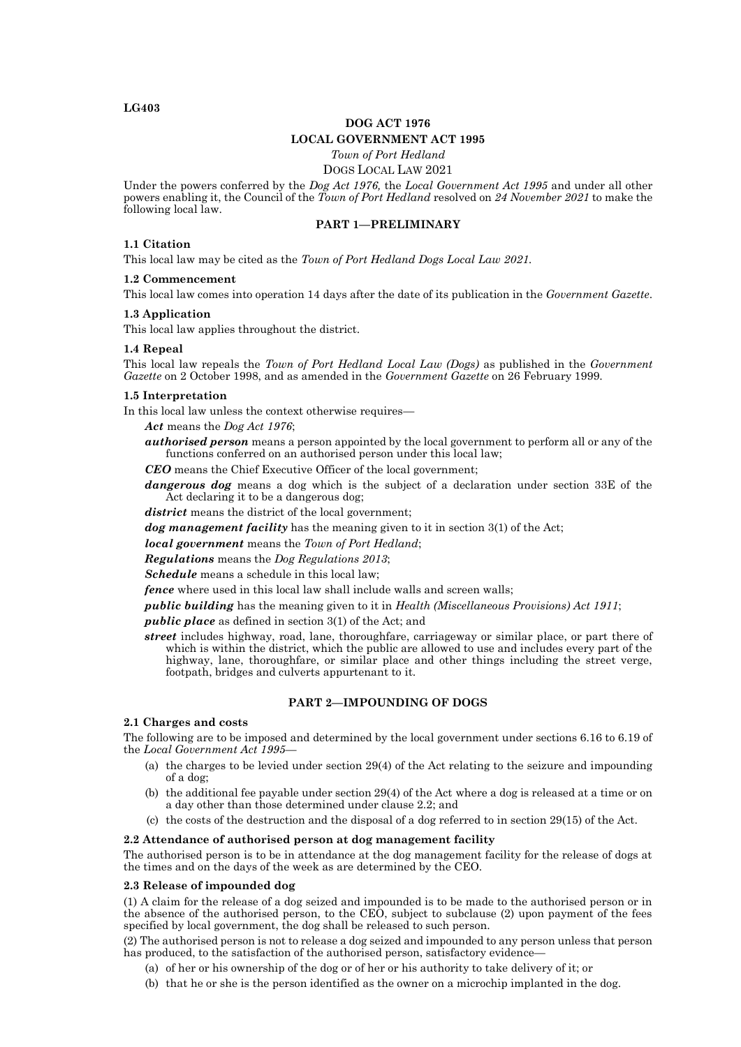### **LG403**

# **DOG ACT 1976 LOCAL GOVERNMENT ACT 1995**

*Town of Port Hedland*

### DOGS LOCAL LAW 2021

Under the powers conferred by the *Dog Act 1976,* the *Local Government Act 1995* and under all other powers enabling it, the Council of the *Town of Port Hedland* resolved on *24 November 2021* to make the following local law.

# **PART 1—PRELIMINARY**

#### **1.1 Citation**

This local law may be cited as the *Town of Port Hedland Dogs Local Law 2021.*

#### **1.2 Commencement**

This local law comes into operation 14 days after the date of its publication in the *Government Gazette*.

#### **1.3 Application**

This local law applies throughout the district.

#### **1.4 Repeal**

This local law repeals the *Town of Port Hedland Local Law (Dogs)* as published in the *Government Gazette* on 2 October 1998, and as amended in the *Government Gazette* on 26 February 1999.

### **1.5 Interpretation**

In this local law unless the context otherwise requires—

*Act* means the *Dog Act 1976*;

*authorised person* means a person appointed by the local government to perform all or any of the functions conferred on an authorised person under this local law;

*CEO* means the Chief Executive Officer of the local government;

*dangerous dog* means a dog which is the subject of a declaration under section 33E of the Act declaring it to be a dangerous dog;

*district* means the district of the local government;

*dog management facility* has the meaning given to it in section 3(1) of the Act;

*local government* means the *Town of Port Hedland*;

*Regulations* means the *Dog Regulations 2013*;

*Schedule* means a schedule in this local law;

*fence* where used in this local law shall include walls and screen walls;

*public building* has the meaning given to it in *Health (Miscellaneous Provisions) Act 1911*;

*public place* as defined in section 3(1) of the Act; and

*street* includes highway, road, lane, thoroughfare, carriageway or similar place, or part there of which is within the district, which the public are allowed to use and includes every part of the highway, lane, thoroughfare, or similar place and other things including the street verge, footpath, bridges and culverts appurtenant to it.

### **PART 2—IMPOUNDING OF DOGS**

#### **2.1 Charges and costs**

The following are to be imposed and determined by the local government under sections 6.16 to 6.19 of the *Local Government Act 1995*—

- (a) the charges to be levied under section 29(4) of the Act relating to the seizure and impounding of a dog;
- (b) the additional fee payable under section 29(4) of the Act where a dog is released at a time or on a day other than those determined under clause 2.2; and
- (c) the costs of the destruction and the disposal of a dog referred to in section 29(15) of the Act.

#### **2.2 Attendance of authorised person at dog management facility**

The authorised person is to be in attendance at the dog management facility for the release of dogs at the times and on the days of the week as are determined by the CEO.

#### **2.3 Release of impounded dog**

(1) A claim for the release of a dog seized and impounded is to be made to the authorised person or in the absence of the authorised person, to the CEO, subject to subclause (2) upon payment of the fees specified by local government, the dog shall be released to such person.

(2) The authorised person is not to release a dog seized and impounded to any person unless that person has produced, to the satisfaction of the authorised person, satisfactory evidence—

- (a) of her or his ownership of the dog or of her or his authority to take delivery of it; or
- (b) that he or she is the person identified as the owner on a microchip implanted in the dog.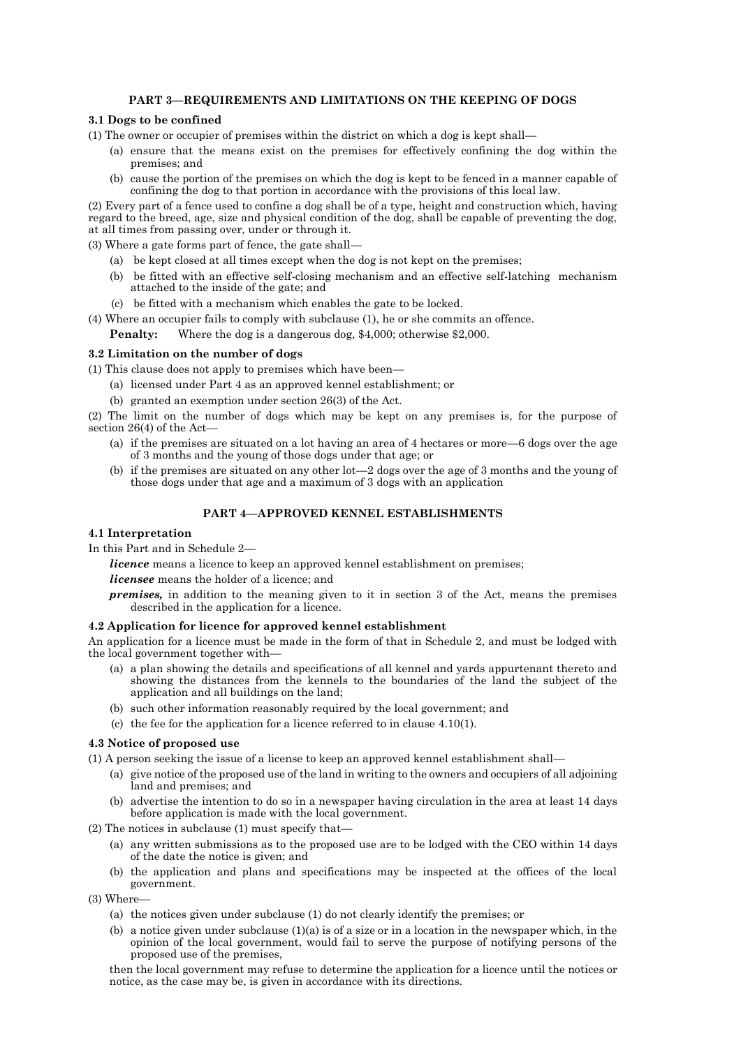# **PART 3—REQUIREMENTS AND LIMITATIONS ON THE KEEPING OF DOGS**

# **3.1 Dogs to be confined**

(1) The owner or occupier of premises within the district on which a dog is kept shall—

- (a) ensure that the means exist on the premises for effectively confining the dog within the premises; and
- (b) cause the portion of the premises on which the dog is kept to be fenced in a manner capable of confining the dog to that portion in accordance with the provisions of this local law.

(2) Every part of a fence used to confine a dog shall be of a type, height and construction which, having regard to the breed, age, size and physical condition of the dog, shall be capable of preventing the dog, at all times from passing over, under or through it.

(3) Where a gate forms part of fence, the gate shall—

- (a) be kept closed at all times except when the dog is not kept on the premises;
- (b) be fitted with an effective self-closing mechanism and an effective self-latching mechanism attached to the inside of the gate; and
- (c) be fitted with a mechanism which enables the gate to be locked.

(4) Where an occupier fails to comply with subclause (1), he or she commits an offence.

**Penalty:** Where the dog is a dangerous dog, \$4,000; otherwise \$2,000.

# **3.2 Limitation on the number of dogs**

(1) This clause does not apply to premises which have been—

- (a) licensed under Part 4 as an approved kennel establishment; or
- (b) granted an exemption under section 26(3) of the Act.

(2) The limit on the number of dogs which may be kept on any premises is, for the purpose of section 26(4) of the Act—

- (a) if the premises are situated on a lot having an area of 4 hectares or more—6 dogs over the age of 3 months and the young of those dogs under that age; or
- (b) if the premises are situated on any other lot—2 dogs over the age of 3 months and the young of those dogs under that age and a maximum of 3 dogs with an application

# **PART 4—APPROVED KENNEL ESTABLISHMENTS**

#### **4.1 Interpretation**

In this Part and in Schedule 2—

*licence* means a licence to keep an approved kennel establishment on premises;

*licensee* means the holder of a licence; and

*premises,* in addition to the meaning given to it in section 3 of the Act, means the premises described in the application for a licence.

#### **4.2 Application for licence for approved kennel establishment**

An application for a licence must be made in the form of that in Schedule 2, and must be lodged with the local government together with-

- (a) a plan showing the details and specifications of all kennel and yards appurtenant thereto and showing the distances from the kennels to the boundaries of the land the subject of the application and all buildings on the land;
- (b) such other information reasonably required by the local government; and
- (c) the fee for the application for a licence referred to in clause 4.10(1).

# **4.3 Notice of proposed use**

(1) A person seeking the issue of a license to keep an approved kennel establishment shall—

- (a) give notice of the proposed use of the land in writing to the owners and occupiers of all adjoining land and premises; and
- (b) advertise the intention to do so in a newspaper having circulation in the area at least 14 days before application is made with the local government.
- (2) The notices in subclause (1) must specify that—
	- (a) any written submissions as to the proposed use are to be lodged with the CEO within 14 days of the date the notice is given; and
	- (b) the application and plans and specifications may be inspected at the offices of the local government.

(3) Where—

- (a) the notices given under subclause (1) do not clearly identify the premises; or
- (b) a notice given under subclause  $(1)(a)$  is of a size or in a location in the newspaper which, in the opinion of the local government, would fail to serve the purpose of notifying persons of the proposed use of the premises,

then the local government may refuse to determine the application for a licence until the notices or notice, as the case may be, is given in accordance with its directions.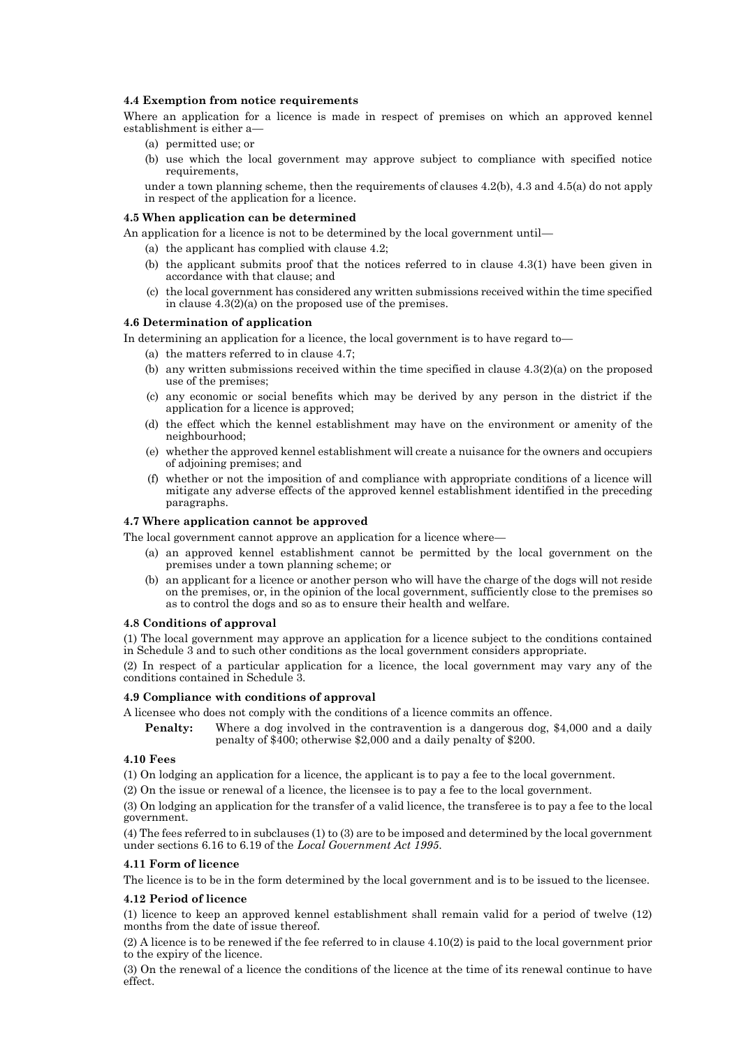# **4.4 Exemption from notice requirements**

Where an application for a licence is made in respect of premises on which an approved kennel establishment is either a—

- (a) permitted use; or
- (b) use which the local government may approve subject to compliance with specified notice requirements,

under a town planning scheme, then the requirements of clauses 4.2(b), 4.3 and 4.5(a) do not apply in respect of the application for a licence.

#### **4.5 When application can be determined**

- An application for a licence is not to be determined by the local government until—
	- (a) the applicant has complied with clause 4.2;
	- (b) the applicant submits proof that the notices referred to in clause 4.3(1) have been given in accordance with that clause; and
	- the local government has considered any written submissions received within the time specified in clause 4.3(2)(a) on the proposed use of the premises.

#### **4.6 Determination of application**

In determining an application for a licence, the local government is to have regard to

- (a) the matters referred to in clause 4.7;
- (b) any written submissions received within the time specified in clause  $4.3(2)(a)$  on the proposed use of the premises;
- (c) any economic or social benefits which may be derived by any person in the district if the application for a licence is approved;
- (d) the effect which the kennel establishment may have on the environment or amenity of the neighbourhood;
- (e) whether the approved kennel establishment will create a nuisance for the owners and occupiers of adjoining premises; and
- (f) whether or not the imposition of and compliance with appropriate conditions of a licence will mitigate any adverse effects of the approved kennel establishment identified in the preceding paragraphs.

### **4.7 Where application cannot be approved**

The local government cannot approve an application for a licence where—

- (a) an approved kennel establishment cannot be permitted by the local government on the premises under a town planning scheme; or
- (b) an applicant for a licence or another person who will have the charge of the dogs will not reside on the premises, or, in the opinion of the local government, sufficiently close to the premises so as to control the dogs and so as to ensure their health and welfare.

#### **4.8 Conditions of approval**

(1) The local government may approve an application for a licence subject to the conditions contained in Schedule 3 and to such other conditions as the local government considers appropriate.

(2) In respect of a particular application for a licence, the local government may vary any of the conditions contained in Schedule 3.

#### **4.9 Compliance with conditions of approval**

A licensee who does not comply with the conditions of a licence commits an offence.

**Penalty:** Where a dog involved in the contravention is a dangerous dog, \$4,000 and a daily penalty of \$400; otherwise \$2,000 and a daily penalty of \$200.

# **4.10 Fees**

(1) On lodging an application for a licence, the applicant is to pay a fee to the local government.

(2) On the issue or renewal of a licence, the licensee is to pay a fee to the local government.

(3) On lodging an application for the transfer of a valid licence, the transferee is to pay a fee to the local government.

(4) The fees referred to in subclauses (1) to (3) are to be imposed and determined by the local government under sections 6.16 to 6.19 of the *Local Government Act 1995*.

# **4.11 Form of licence**

The licence is to be in the form determined by the local government and is to be issued to the licensee.

# **4.12 Period of licence**

(1) licence to keep an approved kennel establishment shall remain valid for a period of twelve (12) months from the date of issue thereof.

(2) A licence is to be renewed if the fee referred to in clause 4.10(2) is paid to the local government prior to the expiry of the licence.

(3) On the renewal of a licence the conditions of the licence at the time of its renewal continue to have effect.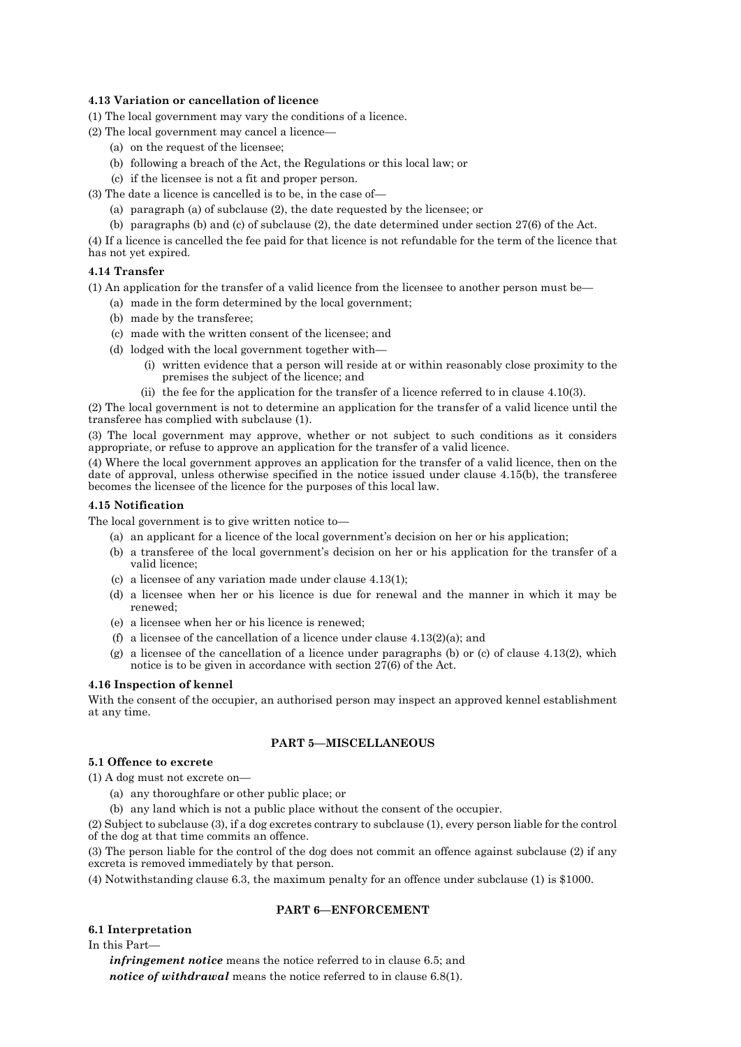# **4.13 Variation or cancellation of licence**

(1) The local government may vary the conditions of a licence.

- (2) The local government may cancel a licence—
	- (a) on the request of the licensee;
	- (b) following a breach of the Act, the Regulations or this local law; or
	- (c) if the licensee is not a fit and proper person.

(3) The date a licence is cancelled is to be, in the case of—

- (a) paragraph (a) of subclause (2), the date requested by the licensee; or
- (b) paragraphs (b) and (c) of subclause (2), the date determined under section 27(6) of the Act.

(4) If a licence is cancelled the fee paid for that licence is not refundable for the term of the licence that has not yet expired.

# **4.14 Transfer**

(1) An application for the transfer of a valid licence from the licensee to another person must be—

- (a) made in the form determined by the local government;
- (b) made by the transferee;
- (c) made with the written consent of the licensee; and
- (d) lodged with the local government together with—
	- (i) written evidence that a person will reside at or within reasonably close proximity to the premises the subject of the licence; and
	- (ii) the fee for the application for the transfer of a licence referred to in clause 4.10(3).

(2) The local government is not to determine an application for the transfer of a valid licence until the transferee has complied with subclause (1).

(3) The local government may approve, whether or not subject to such conditions as it considers appropriate, or refuse to approve an application for the transfer of a valid licence.

(4) Where the local government approves an application for the transfer of a valid licence, then on the date of approval, unless otherwise specified in the notice issued under clause 4.15(b), the transferee becomes the licensee of the licence for the purposes of this local law.

# **4.15 Notification**

The local government is to give written notice to—

(a) an applicant for a licence of the local government's decision on her or his application;

- (b) a transferee of the local government's decision on her or his application for the transfer of a valid licence;
- (c) a licensee of any variation made under clause 4.13(1);
- (d) a licensee when her or his licence is due for renewal and the manner in which it may be renewed;
- (e) a licensee when her or his licence is renewed;
- (f) a licensee of the cancellation of a licence under clause  $4.13(2)(a)$ ; and
- (g) a licensee of the cancellation of a licence under paragraphs (b) or (c) of clause 4.13(2), which notice is to be given in accordance with section 27(6) of the Act.

# **4.16 Inspection of kennel**

With the consent of the occupier, an authorised person may inspect an approved kennel establishment at any time.

# **PART 5—MISCELLANEOUS**

# **5.1 Offence to excrete**

(1) A dog must not excrete on—

- (a) any thoroughfare or other public place; or
- (b) any land which is not a public place without the consent of the occupier.

(2) Subject to subclause (3), if a dog excretes contrary to subclause (1), every person liable for the control of the dog at that time commits an offence.

(3) The person liable for the control of the dog does not commit an offence against subclause (2) if any excreta is removed immediately by that person.

(4) Notwithstanding clause 6.3, the maximum penalty for an offence under subclause (1) is \$1000.

# **PART 6—ENFORCEMENT**

# **6.1 Interpretation**

In this Part—

*infringement notice* means the notice referred to in clause 6.5; and *notice of withdrawal* means the notice referred to in clause 6.8(1).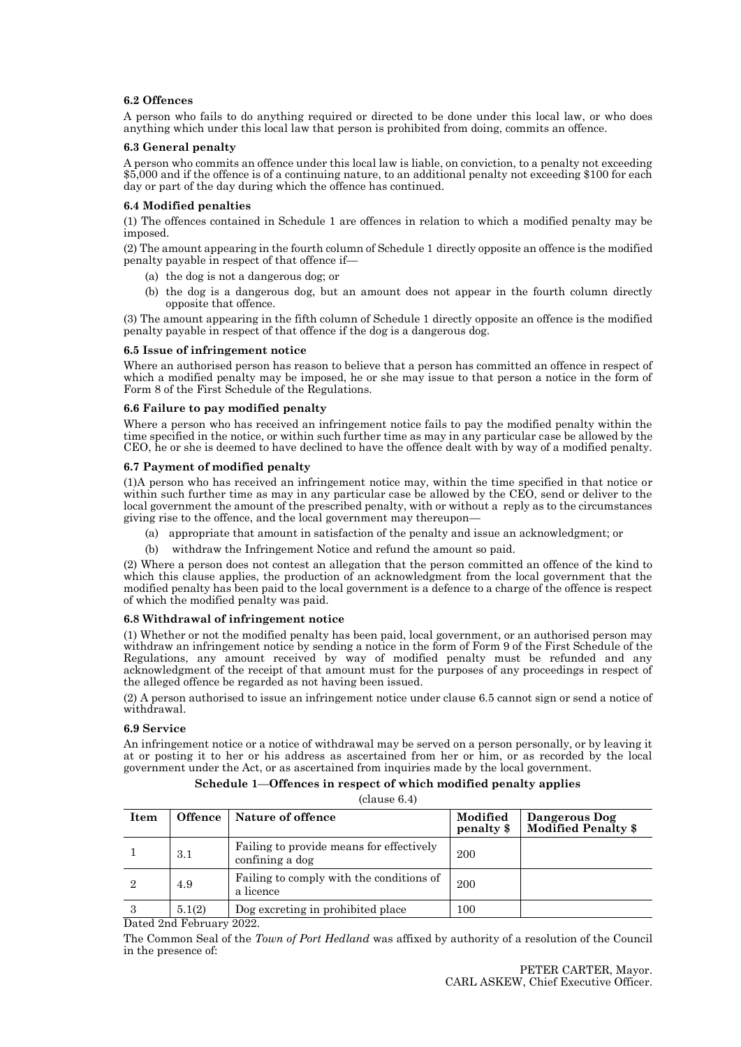# **6.2 Offences**

A person who fails to do anything required or directed to be done under this local law, or who does anything which under this local law that person is prohibited from doing, commits an offence.

#### **6.3 General penalty**

A person who commits an offence under this local law is liable, on conviction, to a penalty not exceeding \$5,000 and if the offence is of a continuing nature, to an additional penalty not exceeding \$100 for each day or part of the day during which the offence has continued.

### **6.4 Modified penalties**

(1) The offences contained in Schedule 1 are offences in relation to which a modified penalty may be imposed.

(2) The amount appearing in the fourth column of Schedule 1 directly opposite an offence is the modified penalty payable in respect of that offence if—

- (a) the dog is not a dangerous dog; or
- (b) the dog is a dangerous dog, but an amount does not appear in the fourth column directly opposite that offence.

(3) The amount appearing in the fifth column of Schedule 1 directly opposite an offence is the modified penalty payable in respect of that offence if the dog is a dangerous dog.

### **6.5 Issue of infringement notice**

Where an authorised person has reason to believe that a person has committed an offence in respect of which a modified penalty may be imposed, he or she may issue to that person a notice in the form of Form 8 of the First Schedule of the Regulations.

### **6.6 Failure to pay modified penalty**

Where a person who has received an infringement notice fails to pay the modified penalty within the time specified in the notice, or within such further time as may in any particular case be allowed by the CEO, he or she is deemed to have declined to have the offence dealt with by way of a modified penalty.

### **6.7 Payment of modified penalty**

(1)A person who has received an infringement notice may, within the time specified in that notice or within such further time as may in any particular case be allowed by the CEO, send or deliver to the local government the amount of the prescribed penalty, with or without a reply as to the circumstances giving rise to the offence, and the local government may thereupon—

- (a) appropriate that amount in satisfaction of the penalty and issue an acknowledgment; or
- (b) withdraw the Infringement Notice and refund the amount so paid.

(2) Where a person does not contest an allegation that the person committed an offence of the kind to which this clause applies, the production of an acknowledgment from the local government that the modified penalty has been paid to the local government is a defence to a charge of the offence is respect of which the modified penalty was paid.

#### **6.8 Withdrawal of infringement notice**

(1) Whether or not the modified penalty has been paid, local government, or an authorised person may withdraw an infringement notice by sending a notice in the form of Form 9 of the First Schedule of the Regulations, any amount received by way of modified penalty must be refunded and any acknowledgment of the receipt of that amount must for the purposes of any proceedings in respect of the alleged offence be regarded as not having been issued.

(2) A person authorised to issue an infringement notice under clause 6.5 cannot sign or send a notice of withdrawal.

#### **6.9 Service**

An infringement notice or a notice of withdrawal may be served on a person personally, or by leaving it at or posting it to her or his address as ascertained from her or him, or as recorded by the local government under the Act, or as ascertained from inquiries made by the local government.

| Schedule 1—Offences in respect of which modified penalty applies |
|------------------------------------------------------------------|
| clause 6.4)                                                      |

| Item | <b>Offence</b> | Nature of offence                                           | Modified<br>penalty \$ | Dangerous Dog<br><b>Modified Penalty \$</b> |
|------|----------------|-------------------------------------------------------------|------------------------|---------------------------------------------|
|      | 3.1            | Failing to provide means for effectively<br>confining a dog | 200                    |                                             |
|      | 4.9            | Failing to comply with the conditions of<br>a licence       | 200                    |                                             |
|      | 5.1(2)         | Dog excreting in prohibited place                           | 100                    |                                             |

Dated 2nd February 2022.

The Common Seal of the *Town of Port Hedland* was affixed by authority of a resolution of the Council in the presence of: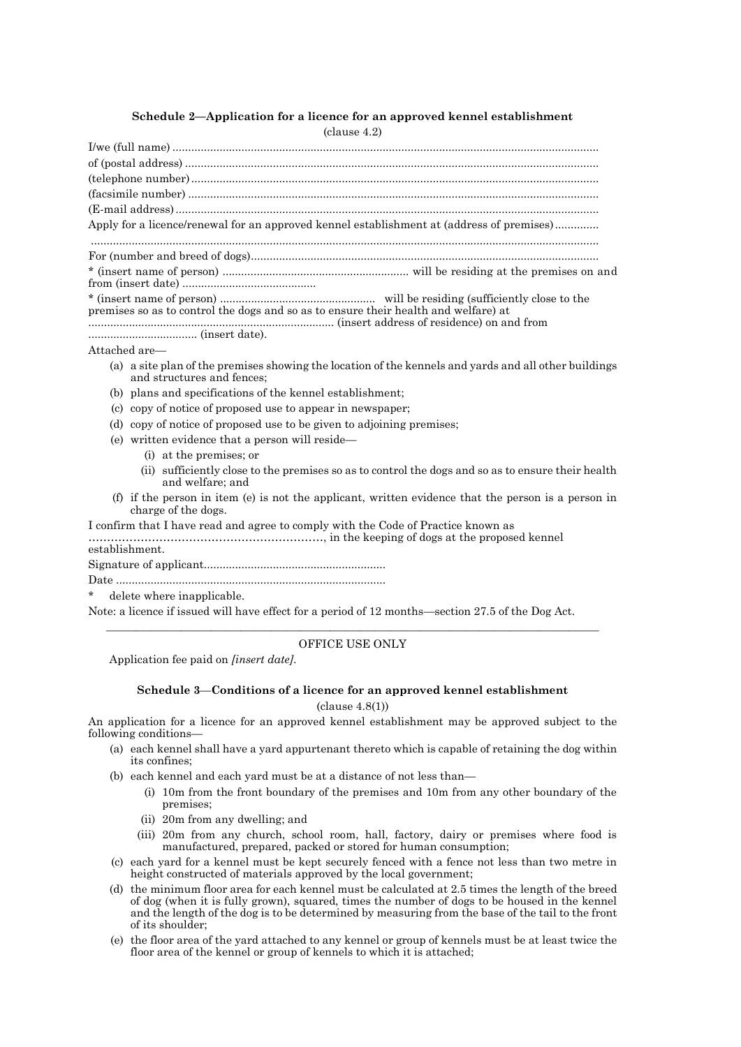# **Schedule 2—Application for a licence for an approved kennel establishment**

(clause 4.2)

I/we (full name) ........................................................................................................................................ of (postal address) .................................................................................................................................... (telephone number).................................................................................................................................. (facsimile number) ................................................................................................................................... (E-mail address)....................................................................................................................................... Apply for a licence/renewal for an approved kennel establishment at (address of premises).............. .................................................................................................................................................................. For (number and breed of dogs)............................................................................................................... \* (insert name of person) ............................................................ will be residing at the premises on and from (insert date) ........................................... \* (insert name of person) .................................................. will be residing (sufficiently close to the premises so as to control the dogs and so as to ensure their health and welfare) at ............................................................................... (insert address of residence) on and from ................................... (insert date). Attached are— (a) a site plan of the premises showing the location of the kennels and yards and all other buildings and structures and fences; (b) plans and specifications of the kennel establishment; (c) copy of notice of proposed use to appear in newspaper; (d) copy of notice of proposed use to be given to adjoining premises; (e) written evidence that a person will reside— (i) at the premises; or (ii) sufficiently close to the premises so as to control the dogs and so as to ensure their health and welfare; and (f) if the person in item (e) is not the applicant, written evidence that the person is a person in charge of the dogs. I confirm that I have read and agree to comply with the Code of Practice known as ………………………………………………………, in the keeping of dogs at the proposed kennel establishment. Signature of applicant.......................................................... Date ...................................................................................... delete where inapplicable. Note: a licence if issued will have effect for a period of 12 months—section 27.5 of the Dog Act.  $\overline{\phantom{a}}$  , and the contract of the contract of the contract of the contract of the contract of the contract of the contract of the contract of the contract of the contract of the contract of the contract of the contrac OFFICE USE ONLY

Application fee paid on *[insert date]*.

# **Schedule 3**—**Conditions of a licence for an approved kennel establishment**

(clause 4.8(1))

An application for a licence for an approved kennel establishment may be approved subject to the following conditions—

- (a) each kennel shall have a yard appurtenant thereto which is capable of retaining the dog within its confines;
- (b) each kennel and each yard must be at a distance of not less than—
	- (i) 10m from the front boundary of the premises and 10m from any other boundary of the premises;
	- (ii) 20m from any dwelling; and
	- (iii) 20m from any church, school room, hall, factory, dairy or premises where food is manufactured, prepared, packed or stored for human consumption;
- (c) each yard for a kennel must be kept securely fenced with a fence not less than two metre in height constructed of materials approved by the local government;
- (d) the minimum floor area for each kennel must be calculated at 2.5 times the length of the breed of dog (when it is fully grown), squared, times the number of dogs to be housed in the kennel and the length of the dog is to be determined by measuring from the base of the tail to the front of its shoulder;
- (e) the floor area of the yard attached to any kennel or group of kennels must be at least twice the floor area of the kennel or group of kennels to which it is attached;